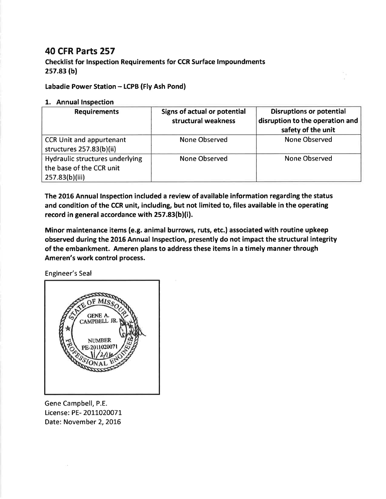## 40 CFR Parts 257

Checklist for lnspection Requirements for CCR Surface lmpoundments 2s7.83 (bl

Labadie Power Station - LCPB (Fly Ash Pond)

## L. Annual lnspection

| <b>Requirements</b>                                                           | Signs of actual or potential<br>structural weakness | <b>Disruptions or potential</b><br>disruption to the operation and<br>safety of the unit |
|-------------------------------------------------------------------------------|-----------------------------------------------------|------------------------------------------------------------------------------------------|
| <b>CCR Unit and appurtenant</b><br>structures 257.83(b)(ii)                   | None Observed                                       | None Observed                                                                            |
| Hydraulic structures underlying<br>the base of the CCR unit<br>257.83(b)(iii) | <b>None Observed</b>                                | None Observed                                                                            |

The 2016 Annual lnspection included a review of available information regarding the status and condition of the CCR unit, including, but not limited to, files available in the operating record in general accordance with 257.83(b)(i).

Minor maintenance items (e.g. animal burrows, ruts, etc.) associated with routine upkeep observed during the 2016 Annual lnspection, presently do not impact the structural integrity of the embankment. Ameren plans to address these items in a timely manner through Ameren's work control process.

Engineer's Seal



Gene Campbell, P.E. License: PE- 2011020071 Date: November 2, 2016